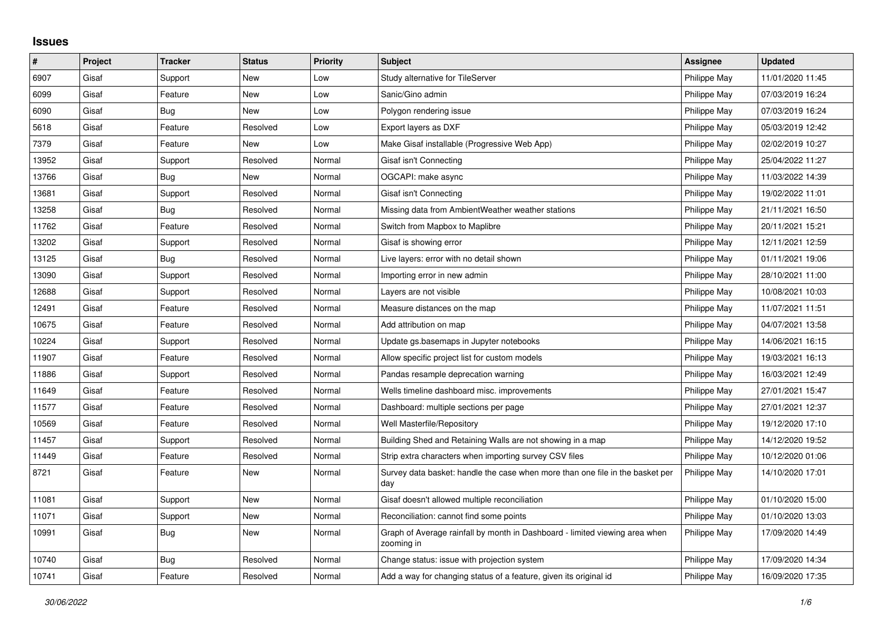## **Issues**

| #     | Project | <b>Tracker</b> | <b>Status</b> | <b>Priority</b> | <b>Subject</b>                                                                            | Assignee     | <b>Updated</b>   |
|-------|---------|----------------|---------------|-----------------|-------------------------------------------------------------------------------------------|--------------|------------------|
| 6907  | Gisaf   | Support        | New           | Low             | Study alternative for TileServer                                                          | Philippe May | 11/01/2020 11:45 |
| 6099  | Gisaf   | Feature        | <b>New</b>    | Low             | Sanic/Gino admin                                                                          | Philippe May | 07/03/2019 16:24 |
| 6090  | Gisaf   | Bug            | <b>New</b>    | Low             | Polygon rendering issue                                                                   | Philippe May | 07/03/2019 16:24 |
| 5618  | Gisaf   | Feature        | Resolved      | Low             | Export layers as DXF                                                                      | Philippe May | 05/03/2019 12:42 |
| 7379  | Gisaf   | Feature        | <b>New</b>    | Low             | Make Gisaf installable (Progressive Web App)                                              | Philippe May | 02/02/2019 10:27 |
| 13952 | Gisaf   | Support        | Resolved      | Normal          | Gisaf isn't Connecting                                                                    | Philippe May | 25/04/2022 11:27 |
| 13766 | Gisaf   | Bug            | <b>New</b>    | Normal          | OGCAPI: make async                                                                        | Philippe May | 11/03/2022 14:39 |
| 13681 | Gisaf   | Support        | Resolved      | Normal          | Gisaf isn't Connecting                                                                    | Philippe May | 19/02/2022 11:01 |
| 13258 | Gisaf   | Bug            | Resolved      | Normal          | Missing data from AmbientWeather weather stations                                         | Philippe May | 21/11/2021 16:50 |
| 11762 | Gisaf   | Feature        | Resolved      | Normal          | Switch from Mapbox to Maplibre                                                            | Philippe May | 20/11/2021 15:21 |
| 13202 | Gisaf   | Support        | Resolved      | Normal          | Gisaf is showing error                                                                    | Philippe May | 12/11/2021 12:59 |
| 13125 | Gisaf   | Bug            | Resolved      | Normal          | Live layers: error with no detail shown                                                   | Philippe May | 01/11/2021 19:06 |
| 13090 | Gisaf   | Support        | Resolved      | Normal          | Importing error in new admin                                                              | Philippe May | 28/10/2021 11:00 |
| 12688 | Gisaf   | Support        | Resolved      | Normal          | Layers are not visible                                                                    | Philippe May | 10/08/2021 10:03 |
| 12491 | Gisaf   | Feature        | Resolved      | Normal          | Measure distances on the map                                                              | Philippe May | 11/07/2021 11:51 |
| 10675 | Gisaf   | Feature        | Resolved      | Normal          | Add attribution on map                                                                    | Philippe May | 04/07/2021 13:58 |
| 10224 | Gisaf   | Support        | Resolved      | Normal          | Update gs.basemaps in Jupyter notebooks                                                   | Philippe May | 14/06/2021 16:15 |
| 11907 | Gisaf   | Feature        | Resolved      | Normal          | Allow specific project list for custom models                                             | Philippe May | 19/03/2021 16:13 |
| 11886 | Gisaf   | Support        | Resolved      | Normal          | Pandas resample deprecation warning                                                       | Philippe May | 16/03/2021 12:49 |
| 11649 | Gisaf   | Feature        | Resolved      | Normal          | Wells timeline dashboard misc. improvements                                               | Philippe May | 27/01/2021 15:47 |
| 11577 | Gisaf   | Feature        | Resolved      | Normal          | Dashboard: multiple sections per page                                                     | Philippe May | 27/01/2021 12:37 |
| 10569 | Gisaf   | Feature        | Resolved      | Normal          | Well Masterfile/Repository                                                                | Philippe May | 19/12/2020 17:10 |
| 11457 | Gisaf   | Support        | Resolved      | Normal          | Building Shed and Retaining Walls are not showing in a map                                | Philippe May | 14/12/2020 19:52 |
| 11449 | Gisaf   | Feature        | Resolved      | Normal          | Strip extra characters when importing survey CSV files                                    | Philippe May | 10/12/2020 01:06 |
| 8721  | Gisaf   | Feature        | New           | Normal          | Survey data basket: handle the case when more than one file in the basket per<br>day      | Philippe May | 14/10/2020 17:01 |
| 11081 | Gisaf   | Support        | New           | Normal          | Gisaf doesn't allowed multiple reconciliation                                             | Philippe May | 01/10/2020 15:00 |
| 11071 | Gisaf   | Support        | <b>New</b>    | Normal          | Reconciliation: cannot find some points                                                   | Philippe May | 01/10/2020 13:03 |
| 10991 | Gisaf   | Bug            | <b>New</b>    | Normal          | Graph of Average rainfall by month in Dashboard - limited viewing area when<br>zooming in | Philippe May | 17/09/2020 14:49 |
| 10740 | Gisaf   | <b>Bug</b>     | Resolved      | Normal          | Change status: issue with projection system                                               | Philippe May | 17/09/2020 14:34 |
| 10741 | Gisaf   | Feature        | Resolved      | Normal          | Add a way for changing status of a feature, given its original id                         | Philippe May | 16/09/2020 17:35 |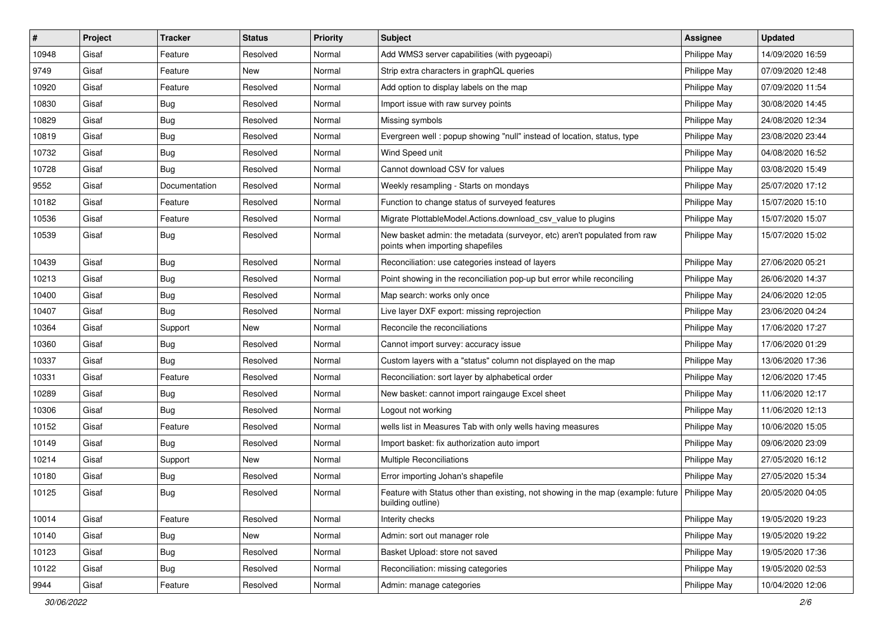| #     | Project | <b>Tracker</b> | <b>Status</b> | Priority | <b>Subject</b>                                                                                                       | <b>Assignee</b> | <b>Updated</b>   |
|-------|---------|----------------|---------------|----------|----------------------------------------------------------------------------------------------------------------------|-----------------|------------------|
| 10948 | Gisaf   | Feature        | Resolved      | Normal   | Add WMS3 server capabilities (with pygeoapi)                                                                         | Philippe May    | 14/09/2020 16:59 |
| 9749  | Gisaf   | Feature        | New           | Normal   | Strip extra characters in graphQL queries                                                                            | Philippe May    | 07/09/2020 12:48 |
| 10920 | Gisaf   | Feature        | Resolved      | Normal   | Add option to display labels on the map                                                                              | Philippe May    | 07/09/2020 11:54 |
| 10830 | Gisaf   | <b>Bug</b>     | Resolved      | Normal   | Import issue with raw survey points                                                                                  | Philippe May    | 30/08/2020 14:45 |
| 10829 | Gisaf   | Bug            | Resolved      | Normal   | Missing symbols                                                                                                      | Philippe May    | 24/08/2020 12:34 |
| 10819 | Gisaf   | Bug            | Resolved      | Normal   | Evergreen well: popup showing "null" instead of location, status, type                                               | Philippe May    | 23/08/2020 23:44 |
| 10732 | Gisaf   | <b>Bug</b>     | Resolved      | Normal   | Wind Speed unit                                                                                                      | Philippe May    | 04/08/2020 16:52 |
| 10728 | Gisaf   | Bug            | Resolved      | Normal   | Cannot download CSV for values                                                                                       | Philippe May    | 03/08/2020 15:49 |
| 9552  | Gisaf   | Documentation  | Resolved      | Normal   | Weekly resampling - Starts on mondays                                                                                | Philippe May    | 25/07/2020 17:12 |
| 10182 | Gisaf   | Feature        | Resolved      | Normal   | Function to change status of surveyed features                                                                       | Philippe May    | 15/07/2020 15:10 |
| 10536 | Gisaf   | Feature        | Resolved      | Normal   | Migrate PlottableModel.Actions.download csv value to plugins                                                         | Philippe May    | 15/07/2020 15:07 |
| 10539 | Gisaf   | <b>Bug</b>     | Resolved      | Normal   | New basket admin: the metadata (surveyor, etc) aren't populated from raw<br>points when importing shapefiles         | Philippe May    | 15/07/2020 15:02 |
| 10439 | Gisaf   | Bug            | Resolved      | Normal   | Reconciliation: use categories instead of layers                                                                     | Philippe May    | 27/06/2020 05:21 |
| 10213 | Gisaf   | <b>Bug</b>     | Resolved      | Normal   | Point showing in the reconciliation pop-up but error while reconciling                                               | Philippe May    | 26/06/2020 14:37 |
| 10400 | Gisaf   | <b>Bug</b>     | Resolved      | Normal   | Map search: works only once                                                                                          | Philippe May    | 24/06/2020 12:05 |
| 10407 | Gisaf   | <b>Bug</b>     | Resolved      | Normal   | Live layer DXF export: missing reprojection                                                                          | Philippe May    | 23/06/2020 04:24 |
| 10364 | Gisaf   | Support        | New           | Normal   | Reconcile the reconciliations                                                                                        | Philippe May    | 17/06/2020 17:27 |
| 10360 | Gisaf   | <b>Bug</b>     | Resolved      | Normal   | Cannot import survey: accuracy issue                                                                                 | Philippe May    | 17/06/2020 01:29 |
| 10337 | Gisaf   | <b>Bug</b>     | Resolved      | Normal   | Custom layers with a "status" column not displayed on the map                                                        | Philippe May    | 13/06/2020 17:36 |
| 10331 | Gisaf   | Feature        | Resolved      | Normal   | Reconciliation: sort layer by alphabetical order                                                                     | Philippe May    | 12/06/2020 17:45 |
| 10289 | Gisaf   | <b>Bug</b>     | Resolved      | Normal   | New basket: cannot import raingauge Excel sheet                                                                      | Philippe May    | 11/06/2020 12:17 |
| 10306 | Gisaf   | Bug            | Resolved      | Normal   | Logout not working                                                                                                   | Philippe May    | 11/06/2020 12:13 |
| 10152 | Gisaf   | Feature        | Resolved      | Normal   | wells list in Measures Tab with only wells having measures                                                           | Philippe May    | 10/06/2020 15:05 |
| 10149 | Gisaf   | <b>Bug</b>     | Resolved      | Normal   | Import basket: fix authorization auto import                                                                         | Philippe May    | 09/06/2020 23:09 |
| 10214 | Gisaf   | Support        | <b>New</b>    | Normal   | Multiple Reconciliations                                                                                             | Philippe May    | 27/05/2020 16:12 |
| 10180 | Gisaf   | <b>Bug</b>     | Resolved      | Normal   | Error importing Johan's shapefile                                                                                    | Philippe May    | 27/05/2020 15:34 |
| 10125 | Gisaf   | Bug            | Resolved      | Normal   | Feature with Status other than existing, not showing in the map (example: future   Philippe May<br>building outline) |                 | 20/05/2020 04:05 |
| 10014 | Gisaf   | Feature        | Resolved      | Normal   | Interity checks                                                                                                      | Philippe May    | 19/05/2020 19:23 |
| 10140 | Gisaf   | <b>Bug</b>     | New           | Normal   | Admin: sort out manager role                                                                                         | Philippe May    | 19/05/2020 19:22 |
| 10123 | Gisaf   | <b>Bug</b>     | Resolved      | Normal   | Basket Upload: store not saved                                                                                       | Philippe May    | 19/05/2020 17:36 |
| 10122 | Gisaf   | Bug            | Resolved      | Normal   | Reconciliation: missing categories                                                                                   | Philippe May    | 19/05/2020 02:53 |
| 9944  | Gisaf   | Feature        | Resolved      | Normal   | Admin: manage categories                                                                                             | Philippe May    | 10/04/2020 12:06 |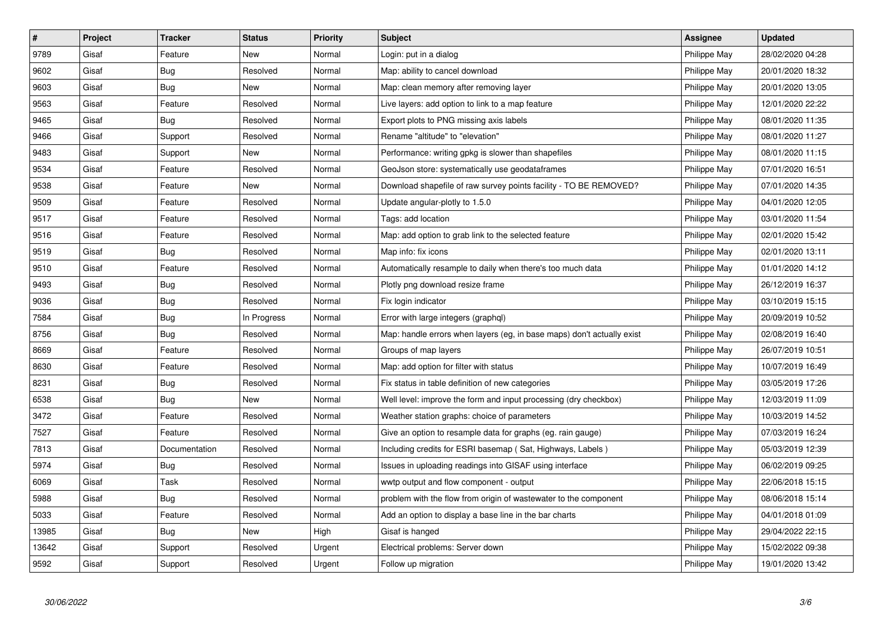| $\sharp$ | <b>Project</b> | <b>Tracker</b> | <b>Status</b> | <b>Priority</b> | <b>Subject</b>                                                         | <b>Assignee</b> | <b>Updated</b>   |
|----------|----------------|----------------|---------------|-----------------|------------------------------------------------------------------------|-----------------|------------------|
| 9789     | Gisaf          | Feature        | <b>New</b>    | Normal          | Login: put in a dialog                                                 | Philippe May    | 28/02/2020 04:28 |
| 9602     | Gisaf          | Bug            | Resolved      | Normal          | Map: ability to cancel download                                        | Philippe May    | 20/01/2020 18:32 |
| 9603     | Gisaf          | <b>Bug</b>     | New           | Normal          | Map: clean memory after removing layer                                 | Philippe May    | 20/01/2020 13:05 |
| 9563     | Gisaf          | Feature        | Resolved      | Normal          | Live layers: add option to link to a map feature                       | Philippe May    | 12/01/2020 22:22 |
| 9465     | Gisaf          | <b>Bug</b>     | Resolved      | Normal          | Export plots to PNG missing axis labels                                | Philippe May    | 08/01/2020 11:35 |
| 9466     | Gisaf          | Support        | Resolved      | Normal          | Rename "altitude" to "elevation"                                       | Philippe May    | 08/01/2020 11:27 |
| 9483     | Gisaf          | Support        | New           | Normal          | Performance: writing gpkg is slower than shapefiles                    | Philippe May    | 08/01/2020 11:15 |
| 9534     | Gisaf          | Feature        | Resolved      | Normal          | GeoJson store: systematically use geodataframes                        | Philippe May    | 07/01/2020 16:51 |
| 9538     | Gisaf          | Feature        | New           | Normal          | Download shapefile of raw survey points facility - TO BE REMOVED?      | Philippe May    | 07/01/2020 14:35 |
| 9509     | Gisaf          | Feature        | Resolved      | Normal          | Update angular-plotly to 1.5.0                                         | Philippe May    | 04/01/2020 12:05 |
| 9517     | Gisaf          | Feature        | Resolved      | Normal          | Tags: add location                                                     | Philippe May    | 03/01/2020 11:54 |
| 9516     | Gisaf          | Feature        | Resolved      | Normal          | Map: add option to grab link to the selected feature                   | Philippe May    | 02/01/2020 15:42 |
| 9519     | Gisaf          | Bug            | Resolved      | Normal          | Map info: fix icons                                                    | Philippe May    | 02/01/2020 13:11 |
| 9510     | Gisaf          | Feature        | Resolved      | Normal          | Automatically resample to daily when there's too much data             | Philippe May    | 01/01/2020 14:12 |
| 9493     | Gisaf          | Bug            | Resolved      | Normal          | Plotly png download resize frame                                       | Philippe May    | 26/12/2019 16:37 |
| 9036     | Gisaf          | <b>Bug</b>     | Resolved      | Normal          | Fix login indicator                                                    | Philippe May    | 03/10/2019 15:15 |
| 7584     | Gisaf          | Bug            | In Progress   | Normal          | Error with large integers (graphgl)                                    | Philippe May    | 20/09/2019 10:52 |
| 8756     | Gisaf          | <b>Bug</b>     | Resolved      | Normal          | Map: handle errors when layers (eg, in base maps) don't actually exist | Philippe May    | 02/08/2019 16:40 |
| 8669     | Gisaf          | Feature        | Resolved      | Normal          | Groups of map layers                                                   | Philippe May    | 26/07/2019 10:51 |
| 8630     | Gisaf          | Feature        | Resolved      | Normal          | Map: add option for filter with status                                 | Philippe May    | 10/07/2019 16:49 |
| 8231     | Gisaf          | <b>Bug</b>     | Resolved      | Normal          | Fix status in table definition of new categories                       | Philippe May    | 03/05/2019 17:26 |
| 6538     | Gisaf          | <b>Bug</b>     | New           | Normal          | Well level: improve the form and input processing (dry checkbox)       | Philippe May    | 12/03/2019 11:09 |
| 3472     | Gisaf          | Feature        | Resolved      | Normal          | Weather station graphs: choice of parameters                           | Philippe May    | 10/03/2019 14:52 |
| 7527     | Gisaf          | Feature        | Resolved      | Normal          | Give an option to resample data for graphs (eg. rain gauge)            | Philippe May    | 07/03/2019 16:24 |
| 7813     | Gisaf          | Documentation  | Resolved      | Normal          | Including credits for ESRI basemap (Sat, Highways, Labels)             | Philippe May    | 05/03/2019 12:39 |
| 5974     | Gisaf          | Bug            | Resolved      | Normal          | Issues in uploading readings into GISAF using interface                | Philippe May    | 06/02/2019 09:25 |
| 6069     | Gisaf          | Task           | Resolved      | Normal          | wwtp output and flow component - output                                | Philippe May    | 22/06/2018 15:15 |
| 5988     | Gisaf          | Bug            | Resolved      | Normal          | problem with the flow from origin of wastewater to the component       | Philippe May    | 08/06/2018 15:14 |
| 5033     | Gisaf          | Feature        | Resolved      | Normal          | Add an option to display a base line in the bar charts                 | Philippe May    | 04/01/2018 01:09 |
| 13985    | Gisaf          | Bug            | New           | High            | Gisaf is hanged                                                        | Philippe May    | 29/04/2022 22:15 |
| 13642    | Gisaf          | Support        | Resolved      | Urgent          | Electrical problems: Server down                                       | Philippe May    | 15/02/2022 09:38 |
| 9592     | Gisaf          | Support        | Resolved      | Urgent          | Follow up migration                                                    | Philippe May    | 19/01/2020 13:42 |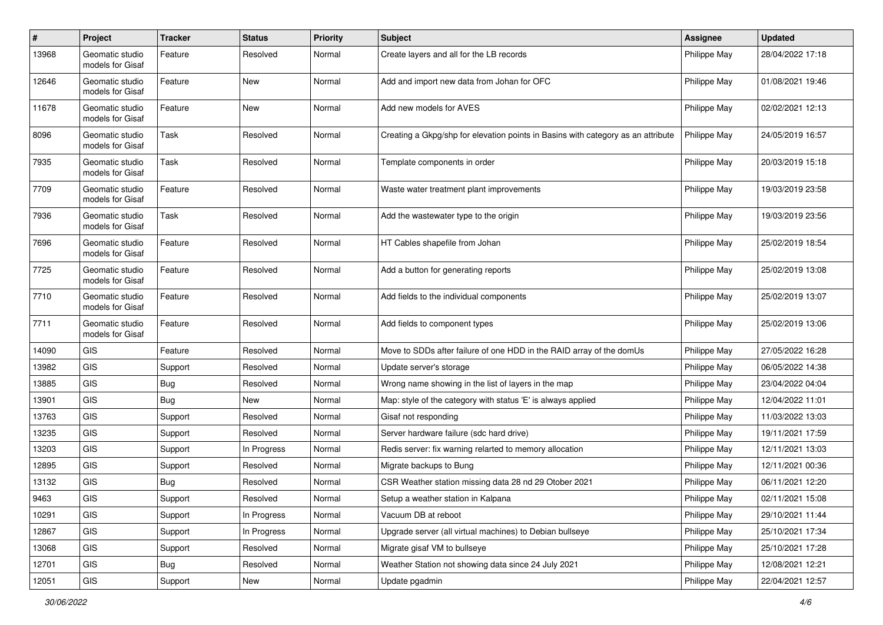| #     | Project                             | <b>Tracker</b> | <b>Status</b> | <b>Priority</b> | <b>Subject</b>                                                                   | <b>Assignee</b> | <b>Updated</b>   |
|-------|-------------------------------------|----------------|---------------|-----------------|----------------------------------------------------------------------------------|-----------------|------------------|
| 13968 | Geomatic studio<br>models for Gisaf | Feature        | Resolved      | Normal          | Create layers and all for the LB records                                         | Philippe May    | 28/04/2022 17:18 |
| 12646 | Geomatic studio<br>models for Gisaf | Feature        | New           | Normal          | Add and import new data from Johan for OFC                                       | Philippe May    | 01/08/2021 19:46 |
| 11678 | Geomatic studio<br>models for Gisaf | Feature        | New           | Normal          | Add new models for AVES                                                          | Philippe May    | 02/02/2021 12:13 |
| 8096  | Geomatic studio<br>models for Gisaf | Task           | Resolved      | Normal          | Creating a Gkpg/shp for elevation points in Basins with category as an attribute | Philippe May    | 24/05/2019 16:57 |
| 7935  | Geomatic studio<br>models for Gisaf | Task           | Resolved      | Normal          | Template components in order                                                     | Philippe May    | 20/03/2019 15:18 |
| 7709  | Geomatic studio<br>models for Gisaf | Feature        | Resolved      | Normal          | Waste water treatment plant improvements                                         | Philippe May    | 19/03/2019 23:58 |
| 7936  | Geomatic studio<br>models for Gisaf | Task           | Resolved      | Normal          | Add the wastewater type to the origin                                            | Philippe May    | 19/03/2019 23:56 |
| 7696  | Geomatic studio<br>models for Gisaf | Feature        | Resolved      | Normal          | HT Cables shapefile from Johan                                                   | Philippe May    | 25/02/2019 18:54 |
| 7725  | Geomatic studio<br>models for Gisaf | Feature        | Resolved      | Normal          | Add a button for generating reports                                              | Philippe May    | 25/02/2019 13:08 |
| 7710  | Geomatic studio<br>models for Gisaf | Feature        | Resolved      | Normal          | Add fields to the individual components                                          | Philippe May    | 25/02/2019 13:07 |
| 7711  | Geomatic studio<br>models for Gisaf | Feature        | Resolved      | Normal          | Add fields to component types                                                    | Philippe May    | 25/02/2019 13:06 |
| 14090 | <b>GIS</b>                          | Feature        | Resolved      | Normal          | Move to SDDs after failure of one HDD in the RAID array of the domUs             | Philippe May    | 27/05/2022 16:28 |
| 13982 | <b>GIS</b>                          | Support        | Resolved      | Normal          | Update server's storage                                                          | Philippe May    | 06/05/2022 14:38 |
| 13885 | <b>GIS</b>                          | <b>Bug</b>     | Resolved      | Normal          | Wrong name showing in the list of layers in the map                              | Philippe May    | 23/04/2022 04:04 |
| 13901 | <b>GIS</b>                          | Bug            | New           | Normal          | Map: style of the category with status 'E' is always applied                     | Philippe May    | 12/04/2022 11:01 |
| 13763 | <b>GIS</b>                          | Support        | Resolved      | Normal          | Gisaf not responding                                                             | Philippe May    | 11/03/2022 13:03 |
| 13235 | <b>GIS</b>                          | Support        | Resolved      | Normal          | Server hardware failure (sdc hard drive)                                         | Philippe May    | 19/11/2021 17:59 |
| 13203 | <b>GIS</b>                          | Support        | In Progress   | Normal          | Redis server: fix warning relarted to memory allocation                          | Philippe May    | 12/11/2021 13:03 |
| 12895 | <b>GIS</b>                          | Support        | Resolved      | Normal          | Migrate backups to Bung                                                          | Philippe May    | 12/11/2021 00:36 |
| 13132 | GIS                                 | <b>Bug</b>     | Resolved      | Normal          | CSR Weather station missing data 28 nd 29 Otober 2021                            | Philippe May    | 06/11/2021 12:20 |
| 9463  | GIS                                 | Support        | Resolved      | Normal          | Setup a weather station in Kalpana                                               | Philippe May    | 02/11/2021 15:08 |
| 10291 | GIS                                 | Support        | In Progress   | Normal          | Vacuum DB at reboot                                                              | Philippe May    | 29/10/2021 11:44 |
| 12867 | <b>GIS</b>                          | Support        | In Progress   | Normal          | Upgrade server (all virtual machines) to Debian bullseye                         | Philippe May    | 25/10/2021 17:34 |
| 13068 | GIS                                 | Support        | Resolved      | Normal          | Migrate gisaf VM to bullseye                                                     | Philippe May    | 25/10/2021 17:28 |
| 12701 | GIS                                 | Bug            | Resolved      | Normal          | Weather Station not showing data since 24 July 2021                              | Philippe May    | 12/08/2021 12:21 |
| 12051 | GIS                                 | Support        | New           | Normal          | Update pgadmin                                                                   | Philippe May    | 22/04/2021 12:57 |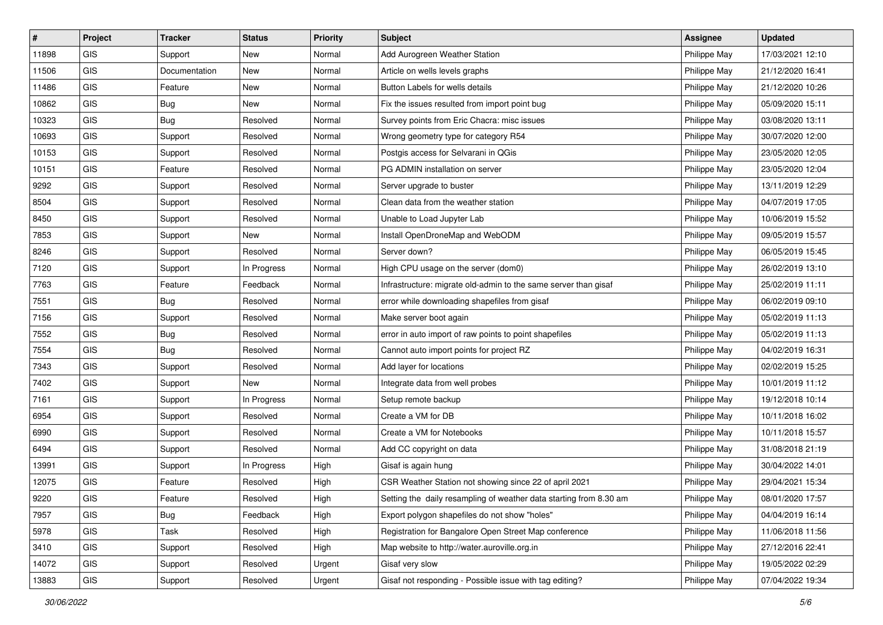| #     | Project    | <b>Tracker</b> | <b>Status</b> | <b>Priority</b> | Subject                                                            | <b>Assignee</b> | <b>Updated</b>   |
|-------|------------|----------------|---------------|-----------------|--------------------------------------------------------------------|-----------------|------------------|
| 11898 | GIS        | Support        | New           | Normal          | Add Aurogreen Weather Station                                      | Philippe May    | 17/03/2021 12:10 |
| 11506 | <b>GIS</b> | Documentation  | <b>New</b>    | Normal          | Article on wells levels graphs                                     | Philippe May    | 21/12/2020 16:41 |
| 11486 | <b>GIS</b> | Feature        | New           | Normal          | Button Labels for wells details                                    | Philippe May    | 21/12/2020 10:26 |
| 10862 | GIS        | <b>Bug</b>     | New           | Normal          | Fix the issues resulted from import point bug                      | Philippe May    | 05/09/2020 15:11 |
| 10323 | GIS        | Bug            | Resolved      | Normal          | Survey points from Eric Chacra: misc issues                        | Philippe May    | 03/08/2020 13:11 |
| 10693 | <b>GIS</b> | Support        | Resolved      | Normal          | Wrong geometry type for category R54                               | Philippe May    | 30/07/2020 12:00 |
| 10153 | GIS        | Support        | Resolved      | Normal          | Postgis access for Selvarani in QGis                               | Philippe May    | 23/05/2020 12:05 |
| 10151 | GIS        | Feature        | Resolved      | Normal          | PG ADMIN installation on server                                    | Philippe May    | 23/05/2020 12:04 |
| 9292  | GIS        | Support        | Resolved      | Normal          | Server upgrade to buster                                           | Philippe May    | 13/11/2019 12:29 |
| 8504  | <b>GIS</b> | Support        | Resolved      | Normal          | Clean data from the weather station                                | Philippe May    | 04/07/2019 17:05 |
| 8450  | GIS        | Support        | Resolved      | Normal          | Unable to Load Jupyter Lab                                         | Philippe May    | 10/06/2019 15:52 |
| 7853  | GIS        | Support        | New           | Normal          | Install OpenDroneMap and WebODM                                    | Philippe May    | 09/05/2019 15:57 |
| 8246  | GIS        | Support        | Resolved      | Normal          | Server down?                                                       | Philippe May    | 06/05/2019 15:45 |
| 7120  | GIS        | Support        | In Progress   | Normal          | High CPU usage on the server (dom0)                                | Philippe May    | 26/02/2019 13:10 |
| 7763  | GIS        | Feature        | Feedback      | Normal          | Infrastructure: migrate old-admin to the same server than gisaf    | Philippe May    | 25/02/2019 11:11 |
| 7551  | GIS        | <b>Bug</b>     | Resolved      | Normal          | error while downloading shapefiles from gisaf                      | Philippe May    | 06/02/2019 09:10 |
| 7156  | GIS        | Support        | Resolved      | Normal          | Make server boot again                                             | Philippe May    | 05/02/2019 11:13 |
| 7552  | GIS        | <b>Bug</b>     | Resolved      | Normal          | error in auto import of raw points to point shapefiles             | Philippe May    | 05/02/2019 11:13 |
| 7554  | GIS        | Bug            | Resolved      | Normal          | Cannot auto import points for project RZ                           | Philippe May    | 04/02/2019 16:31 |
| 7343  | GIS        | Support        | Resolved      | Normal          | Add layer for locations                                            | Philippe May    | 02/02/2019 15:25 |
| 7402  | GIS        | Support        | New           | Normal          | Integrate data from well probes                                    | Philippe May    | 10/01/2019 11:12 |
| 7161  | GIS        | Support        | In Progress   | Normal          | Setup remote backup                                                | Philippe May    | 19/12/2018 10:14 |
| 6954  | GIS        | Support        | Resolved      | Normal          | Create a VM for DB                                                 | Philippe May    | 10/11/2018 16:02 |
| 6990  | <b>GIS</b> | Support        | Resolved      | Normal          | Create a VM for Notebooks                                          | Philippe May    | 10/11/2018 15:57 |
| 6494  | <b>GIS</b> | Support        | Resolved      | Normal          | Add CC copyright on data                                           | Philippe May    | 31/08/2018 21:19 |
| 13991 | GIS        | Support        | In Progress   | High            | Gisaf is again hung                                                | Philippe May    | 30/04/2022 14:01 |
| 12075 | GIS        | Feature        | Resolved      | High            | CSR Weather Station not showing since 22 of april 2021             | Philippe May    | 29/04/2021 15:34 |
| 9220  | GIS        | Feature        | Resolved      | High            | Setting the daily resampling of weather data starting from 8.30 am | Philippe May    | 08/01/2020 17:57 |
| 7957  | GIS.       | Bug            | Feedback      | High            | Export polygon shapefiles do not show "holes"                      | Philippe May    | 04/04/2019 16:14 |
| 5978  | GIS        | Task           | Resolved      | High            | Registration for Bangalore Open Street Map conference              | Philippe May    | 11/06/2018 11:56 |
| 3410  | GIS        | Support        | Resolved      | High            | Map website to http://water.auroville.org.in                       | Philippe May    | 27/12/2016 22:41 |
| 14072 | GIS        | Support        | Resolved      | Urgent          | Gisaf very slow                                                    | Philippe May    | 19/05/2022 02:29 |
| 13883 | GIS        | Support        | Resolved      | Urgent          | Gisaf not responding - Possible issue with tag editing?            | Philippe May    | 07/04/2022 19:34 |